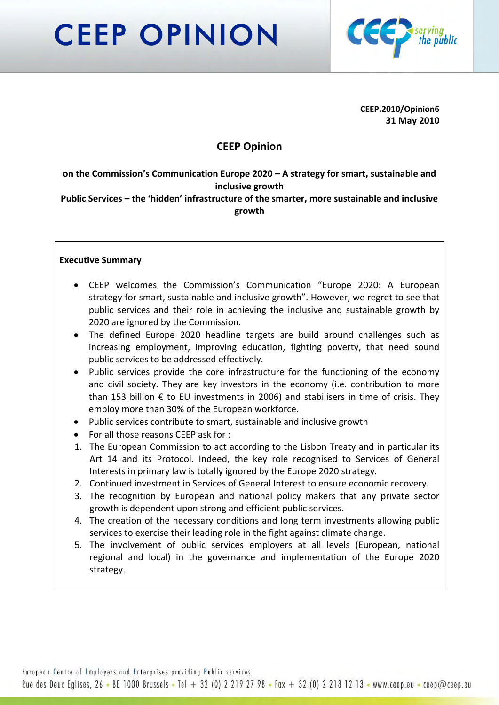# **CEEP OPINION**



**CEEP.2010/Opinion6 31 May 2010**

## **CEEP Opinion**

**on the Commission's Communication Europe 2020 – A strategy for smart, sustainable and inclusive growth**

**Public Services – the 'hidden' infrastructure of the smarter, more sustainable and inclusive growth**

## **Executive Summary**

- CEEP welcomes the Commission's Communication "Europe 2020: A European strategy for smart, sustainable and inclusive growth". However, we regret to see that public services and their role in achieving the inclusive and sustainable growth by 2020 are ignored by the Commission.
- The defined Europe 2020 headline targets are build around challenges such as increasing employment, improving education, fighting poverty, that need sound public services to be addressed effectively.
- Public services provide the core infrastructure for the functioning of the economy and civil society. They are key investors in the economy (i.e. contribution to more than 153 billion € to EU investments in 2006) and stabilisers in time of crisis. They employ more than 30% of the European workforce.
- Public services contribute to smart, sustainable and inclusive growth
- For all those reasons CEEP ask for :
- 1. The European Commission to act according to the Lisbon Treaty and in particular its Art 14 and its Protocol. Indeed, the key role recognised to Services of General Interests in primary law is totally ignored by the Europe 2020 strategy.
- 2. Continued investment in Services of General Interest to ensure economic recovery.
- 3. The recognition by European and national policy makers that any private sector growth is dependent upon strong and efficient public services.
- 4. The creation of the necessary conditions and long term investments allowing public services to exercise their leading role in the fight against climate change.
- 5. The involvement of public services employers at all levels (European, national regional and local) in the governance and implementation of the Europe 2020 strategy.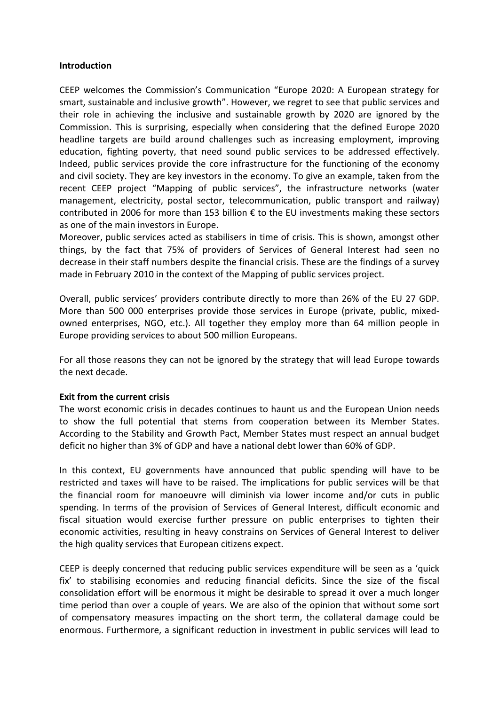#### **Introduction**

CEEP welcomes the Commission's Communication "Europe 2020: A European strategy for smart, sustainable and inclusive growth". However, we regret to see that public services and their role in achieving the inclusive and sustainable growth by 2020 are ignored by the Commission. This is surprising, especially when considering that the defined Europe 2020 headline targets are build around challenges such as increasing employment, improving education, fighting poverty, that need sound public services to be addressed effectively. Indeed, public services provide the core infrastructure for the functioning of the economy and civil society. They are key investors in the economy. To give an example, taken from the recent CEEP project "Mapping of public services", the infrastructure networks (water management, electricity, postal sector, telecommunication, public transport and railway) contributed in 2006 for more than 153 billion  $\epsilon$  to the EU investments making these sectors as one of the main investors in Europe.

Moreover, public services acted as stabilisers in time of crisis. This is shown, amongst other things, by the fact that 75% of providers of Services of General Interest had seen no decrease in their staff numbers despite the financial crisis. These are the findings of a survey made in February 2010 in the context of the Mapping of public services project.

Overall, public services' providers contribute directly to more than 26% of the EU 27 GDP. More than 500 000 enterprises provide those services in Europe (private, public, mixedowned enterprises, NGO, etc.). All together they employ more than 64 million people in Europe providing services to about 500 million Europeans.

For all those reasons they can not be ignored by the strategy that will lead Europe towards the next decade.

## **Exit from the current crisis**

The worst economic crisis in decades continues to haunt us and the European Union needs to show the full potential that stems from cooperation between its Member States. According to the Stability and Growth Pact, Member States must respect an annual budget deficit no higher than 3% of GDP and have a national debt lower than 60% of GDP.

In this context, EU governments have announced that public spending will have to be restricted and taxes will have to be raised. The implications for public services will be that the financial room for manoeuvre will diminish via lower income and/or cuts in public spending. In terms of the provision of Services of General Interest, difficult economic and fiscal situation would exercise further pressure on public enterprises to tighten their economic activities, resulting in heavy constrains on Services of General Interest to deliver the high quality services that European citizens expect.

CEEP is deeply concerned that reducing public services expenditure will be seen as a 'quick fix' to stabilising economies and reducing financial deficits. Since the size of the fiscal consolidation effort will be enormous it might be desirable to spread it over a much longer time period than over a couple of years. We are also of the opinion that without some sort of compensatory measures impacting on the short term, the collateral damage could be enormous. Furthermore, a significant reduction in investment in public services will lead to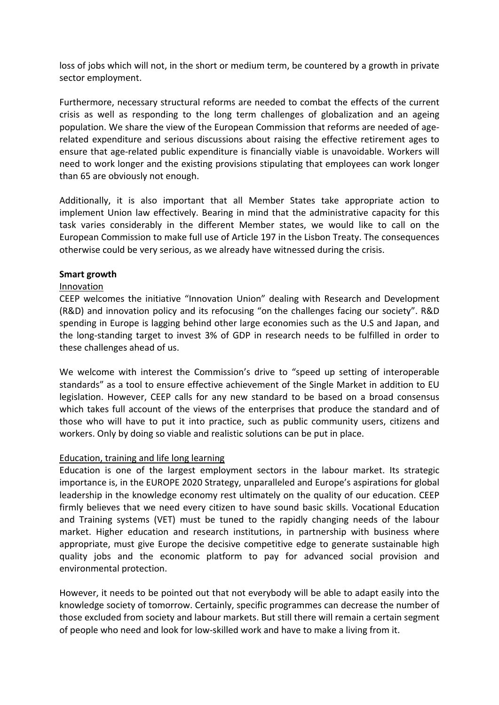loss of jobs which will not, in the short or medium term, be countered by a growth in private sector employment.

Furthermore, necessary structural reforms are needed to combat the effects of the current crisis as well as responding to the long term challenges of globalization and an ageing population. We share the view of the European Commission that reforms are needed of age‐ related expenditure and serious discussions about raising the effective retirement ages to ensure that age‐related public expenditure is financially viable is unavoidable. Workers will need to work longer and the existing provisions stipulating that employees can work longer than 65 are obviously not enough.

Additionally, it is also important that all Member States take appropriate action to implement Union law effectively. Bearing in mind that the administrative capacity for this task varies considerably in the different Member states, we would like to call on the European Commission to make full use of Article 197 in the Lisbon Treaty. The consequences otherwise could be very serious, as we already have witnessed during the crisis.

#### **Smart growth**

## Innovation

CEEP welcomes the initiative "Innovation Union" dealing with Research and Development (R&D) and innovation policy and its refocusing "on the challenges facing our society". R&D spending in Europe is lagging behind other large economies such as the U.S and Japan, and the long‐standing target to invest 3% of GDP in research needs to be fulfilled in order to these challenges ahead of us.

We welcome with interest the Commission's drive to "speed up setting of interoperable standards" as a tool to ensure effective achievement of the Single Market in addition to EU legislation. However, CEEP calls for any new standard to be based on a broad consensus which takes full account of the views of the enterprises that produce the standard and of those who will have to put it into practice, such as public community users, citizens and workers. Only by doing so viable and realistic solutions can be put in place.

## Education, training and life long learning

Education is one of the largest employment sectors in the labour market. Its strategic importance is, in the EUROPE 2020 Strategy, unparalleled and Europe's aspirations for global leadership in the knowledge economy rest ultimately on the quality of our education. CEEP firmly believes that we need every citizen to have sound basic skills. Vocational Education and Training systems (VET) must be tuned to the rapidly changing needs of the labour market. Higher education and research institutions, in partnership with business where appropriate, must give Europe the decisive competitive edge to generate sustainable high quality jobs and the economic platform to pay for advanced social provision and environmental protection.

However, it needs to be pointed out that not everybody will be able to adapt easily into the knowledge society of tomorrow. Certainly, specific programmes can decrease the number of those excluded from society and labour markets. But still there will remain a certain segment of people who need and look for low‐skilled work and have to make a living from it.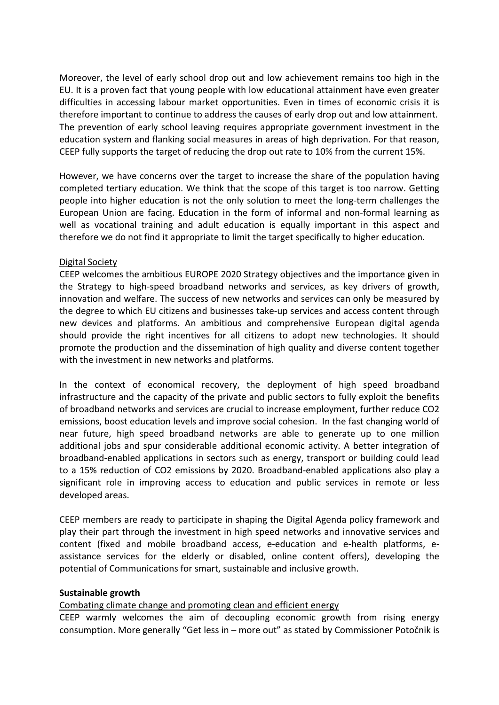Moreover, the level of early school drop out and low achievement remains too high in the EU. It is a proven fact that young people with low educational attainment have even greater difficulties in accessing labour market opportunities. Even in times of economic crisis it is therefore important to continue to address the causes of early drop out and low attainment. The prevention of early school leaving requires appropriate government investment in the education system and flanking social measures in areas of high deprivation. For that reason, CEEP fully supports the target of reducing the drop out rate to 10% from the current 15%.

However, we have concerns over the target to increase the share of the population having completed tertiary education. We think that the scope of this target is too narrow. Getting people into higher education is not the only solution to meet the long‐term challenges the European Union are facing. Education in the form of informal and non‐formal learning as well as vocational training and adult education is equally important in this aspect and therefore we do not find it appropriate to limit the target specifically to higher education.

## Digital Society

CEEP welcomes the ambitious EUROPE 2020 Strategy objectives and the importance given in the Strategy to high‐speed broadband networks and services, as key drivers of growth, innovation and welfare. The success of new networks and services can only be measured by the degree to which EU citizens and businesses take‐up services and access content through new devices and platforms. An ambitious and comprehensive European digital agenda should provide the right incentives for all citizens to adopt new technologies. It should promote the production and the dissemination of high quality and diverse content together with the investment in new networks and platforms.

In the context of economical recovery, the deployment of high speed broadband infrastructure and the capacity of the private and public sectors to fully exploit the benefits of broadband networks and services are crucial to increase employment, further reduce CO2 emissions, boost education levels and improve social cohesion. In the fast changing world of near future, high speed broadband networks are able to generate up to one million additional jobs and spur considerable additional economic activity. A better integration of broadband‐enabled applications in sectors such as energy, transport or building could lead to a 15% reduction of CO2 emissions by 2020. Broadband‐enabled applications also play a significant role in improving access to education and public services in remote or less developed areas.

CEEP members are ready to participate in shaping the Digital Agenda policy framework and play their part through the investment in high speed networks and innovative services and content (fixed and mobile broadband access, e‐education and e‐health platforms, e‐ assistance services for the elderly or disabled, online content offers), developing the potential of Communications for smart, sustainable and inclusive growth.

## **Sustainable growth**

## Combating climate change and promoting clean and efficient energy

CEEP warmly welcomes the aim of decoupling economic growth from rising energy consumption. More generally "Get less in – more out" as stated by Commissioner Potočnik is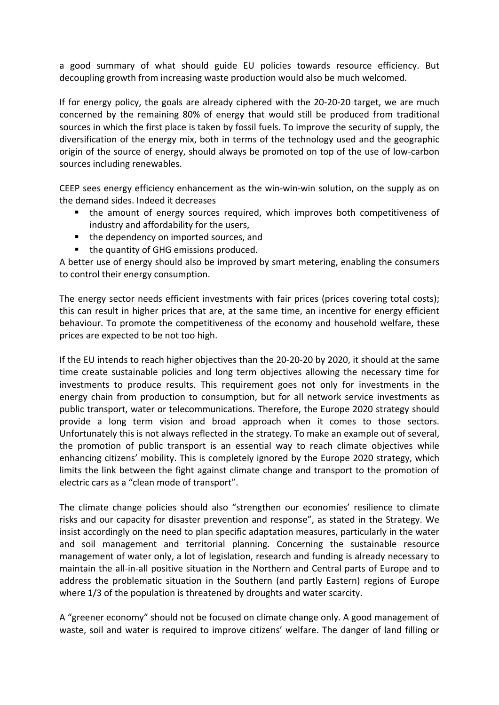a good summary of what should guide EU policies towards resource efficiency. But decoupling growth from increasing waste production would also be much welcomed.

If for energy policy, the goals are already ciphered with the 20‐20‐20 target, we are much concerned by the remaining 80% of energy that would still be produced from traditional sources in which the first place is taken by fossil fuels. To improve the security of supply, the diversification of the energy mix, both in terms of the technology used and the geographic origin of the source of energy, should always be promoted on top of the use of low‐carbon sources including renewables.

CEEP sees energy efficiency enhancement as the win‐win‐win solution, on the supply as on the demand sides. Indeed it decreases

- the amount of energy sources required, which improves both competitiveness of industry and affordability for the users,
- the dependency on imported sources, and
- the quantity of GHG emissions produced.

A better use of energy should also be improved by smart metering, enabling the consumers to control their energy consumption.

The energy sector needs efficient investments with fair prices (prices covering total costs); this can result in higher prices that are, at the same time, an incentive for energy efficient behaviour. To promote the competitiveness of the economy and household welfare, these prices are expected to be not too high.

If the EU intends to reach higher objectives than the 20‐20‐20 by 2020, it should at the same time create sustainable policies and long term objectives allowing the necessary time for investments to produce results. This requirement goes not only for investments in the energy chain from production to consumption, but for all network service investments as public transport, water or telecommunications. Therefore, the Europe 2020 strategy should provide a long term vision and broad approach when it comes to those sectors. Unfortunately this is not always reflected in the strategy. To make an example out of several, the promotion of public transport is an essential way to reach climate objectives while enhancing citizens' mobility. This is completely ignored by the Europe 2020 strategy, which limits the link between the fight against climate change and transport to the promotion of electric cars as a "clean mode of transport".

The climate change policies should also "strengthen our economies' resilience to climate risks and our capacity for disaster prevention and response", as stated in the Strategy. We insist accordingly on the need to plan specific adaptation measures, particularly in the water and soil management and territorial planning. Concerning the sustainable resource management of water only, a lot of legislation, research and funding is already necessary to maintain the all‐in‐all positive situation in the Northern and Central parts of Europe and to address the problematic situation in the Southern (and partly Eastern) regions of Europe where 1/3 of the population is threatened by droughts and water scarcity.

A "greener economy" should not be focused on climate change only. A good management of waste, soil and water is required to improve citizens' welfare. The danger of land filling or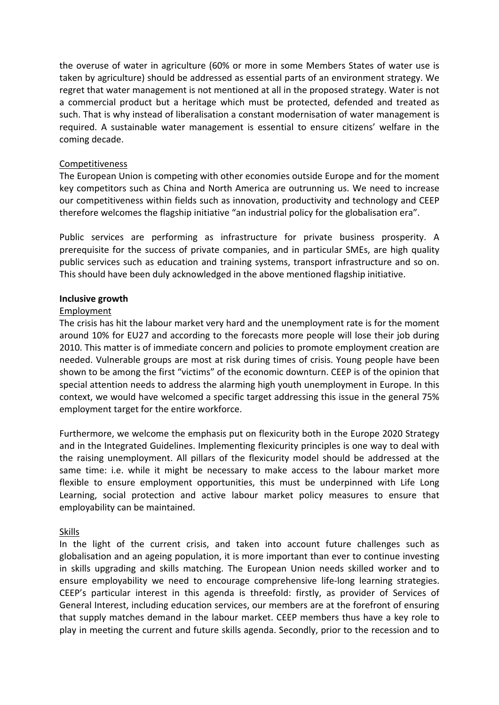the overuse of water in agriculture (60% or more in some Members States of water use is taken by agriculture) should be addressed as essential parts of an environment strategy. We regret that water management is not mentioned at all in the proposed strategy. Water is not a commercial product but a heritage which must be protected, defended and treated as such. That is why instead of liberalisation a constant modernisation of water management is required. A sustainable water management is essential to ensure citizens' welfare in the coming decade.

## Competitiveness

The European Union is competing with other economies outside Europe and for the moment key competitors such as China and North America are outrunning us. We need to increase our competitiveness within fields such as innovation, productivity and technology and CEEP therefore welcomes the flagship initiative "an industrial policy for the globalisation era".

Public services are performing as infrastructure for private business prosperity. A prerequisite for the success of private companies, and in particular SMEs, are high quality public services such as education and training systems, transport infrastructure and so on. This should have been duly acknowledged in the above mentioned flagship initiative.

## **Inclusive growth**

## Employment

The crisis has hit the labour market very hard and the unemployment rate is for the moment around 10% for EU27 and according to the forecasts more people will lose their job during 2010. This matter is of immediate concern and policies to promote employment creation are needed. Vulnerable groups are most at risk during times of crisis. Young people have been shown to be among the first "victims" of the economic downturn. CEEP is of the opinion that special attention needs to address the alarming high youth unemployment in Europe. In this context, we would have welcomed a specific target addressing this issue in the general 75% employment target for the entire workforce.

Furthermore, we welcome the emphasis put on flexicurity both in the Europe 2020 Strategy and in the Integrated Guidelines. Implementing flexicurity principles is one way to deal with the raising unemployment. All pillars of the flexicurity model should be addressed at the same time: i.e. while it might be necessary to make access to the labour market more flexible to ensure employment opportunities, this must be underpinned with Life Long Learning, social protection and active labour market policy measures to ensure that employability can be maintained.

## Skills

In the light of the current crisis, and taken into account future challenges such as globalisation and an ageing population, it is more important than ever to continue investing in skills upgrading and skills matching. The European Union needs skilled worker and to ensure employability we need to encourage comprehensive life-long learning strategies. CEEP's particular interest in this agenda is threefold: firstly, as provider of Services of General Interest, including education services, our members are at the forefront of ensuring that supply matches demand in the labour market. CEEP members thus have a key role to play in meeting the current and future skills agenda. Secondly, prior to the recession and to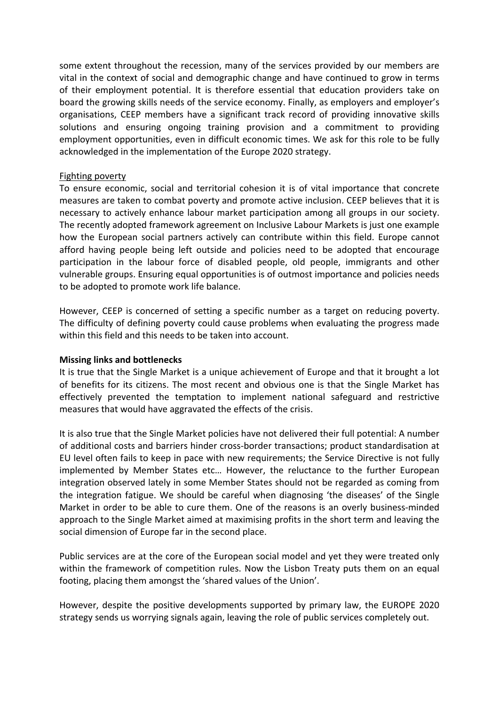some extent throughout the recession, many of the services provided by our members are vital in the context of social and demographic change and have continued to grow in terms of their employment potential. It is therefore essential that education providers take on board the growing skills needs of the service economy. Finally, as employers and employer's organisations, CEEP members have a significant track record of providing innovative skills solutions and ensuring ongoing training provision and a commitment to providing employment opportunities, even in difficult economic times. We ask for this role to be fully acknowledged in the implementation of the Europe 2020 strategy.

## Fighting poverty

To ensure economic, social and territorial cohesion it is of vital importance that concrete measures are taken to combat poverty and promote active inclusion. CEEP believes that it is necessary to actively enhance labour market participation among all groups in our society. The recently adopted framework agreement on Inclusive Labour Markets is just one example how the European social partners actively can contribute within this field. Europe cannot afford having people being left outside and policies need to be adopted that encourage participation in the labour force of disabled people, old people, immigrants and other vulnerable groups. Ensuring equal opportunities is of outmost importance and policies needs to be adopted to promote work life balance.

However, CEEP is concerned of setting a specific number as a target on reducing poverty. The difficulty of defining poverty could cause problems when evaluating the progress made within this field and this needs to be taken into account.

## **Missing links and bottlenecks**

It is true that the Single Market is a unique achievement of Europe and that it brought a lot of benefits for its citizens. The most recent and obvious one is that the Single Market has effectively prevented the temptation to implement national safeguard and restrictive measures that would have aggravated the effects of the crisis.

It is also true that the Single Market policies have not delivered their full potential: A number of additional costs and barriers hinder cross‐border transactions; product standardisation at EU level often fails to keep in pace with new requirements; the Service Directive is not fully implemented by Member States etc… However, the reluctance to the further European integration observed lately in some Member States should not be regarded as coming from the integration fatigue. We should be careful when diagnosing 'the diseases' of the Single Market in order to be able to cure them. One of the reasons is an overly business-minded approach to the Single Market aimed at maximising profits in the short term and leaving the social dimension of Europe far in the second place.

Public services are at the core of the European social model and yet they were treated only within the framework of competition rules. Now the Lisbon Treaty puts them on an equal footing, placing them amongst the 'shared values of the Union'.

However, despite the positive developments supported by primary law, the EUROPE 2020 strategy sends us worrying signals again, leaving the role of public services completely out.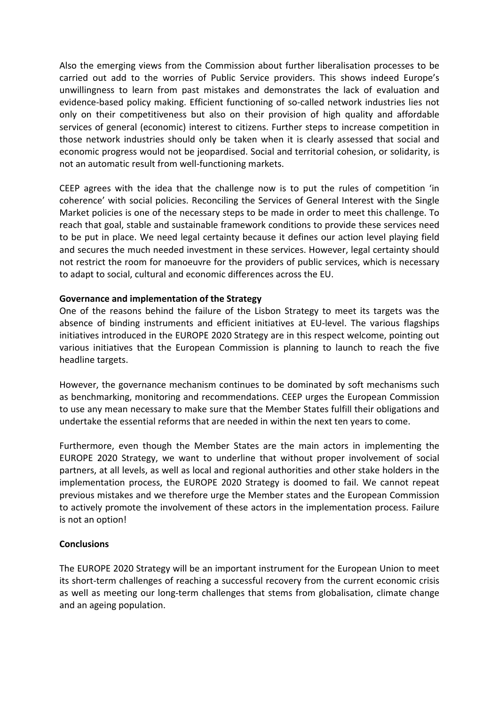Also the emerging views from the Commission about further liberalisation processes to be carried out add to the worries of Public Service providers. This shows indeed Europe's unwillingness to learn from past mistakes and demonstrates the lack of evaluation and evidence-based policy making. Efficient functioning of so-called network industries lies not only on their competitiveness but also on their provision of high quality and affordable services of general (economic) interest to citizens. Further steps to increase competition in those network industries should only be taken when it is clearly assessed that social and economic progress would not be jeopardised. Social and territorial cohesion, or solidarity, is not an automatic result from well‐functioning markets.

CEEP agrees with the idea that the challenge now is to put the rules of competition 'in coherence' with social policies. Reconciling the Services of General Interest with the Single Market policies is one of the necessary steps to be made in order to meet this challenge. To reach that goal, stable and sustainable framework conditions to provide these services need to be put in place. We need legal certainty because it defines our action level playing field and secures the much needed investment in these services. However, legal certainty should not restrict the room for manoeuvre for the providers of public services, which is necessary to adapt to social, cultural and economic differences across the EU.

## **Governance and implementation of the Strategy**

One of the reasons behind the failure of the Lisbon Strategy to meet its targets was the absence of binding instruments and efficient initiatives at EU‐level. The various flagships initiatives introduced in the EUROPE 2020 Strategy are in this respect welcome, pointing out various initiatives that the European Commission is planning to launch to reach the five headline targets.

However, the governance mechanism continues to be dominated by soft mechanisms such as benchmarking, monitoring and recommendations. CEEP urges the European Commission to use any mean necessary to make sure that the Member States fulfill their obligations and undertake the essential reforms that are needed in within the next ten years to come.

Furthermore, even though the Member States are the main actors in implementing the EUROPE 2020 Strategy, we want to underline that without proper involvement of social partners, at all levels, as well as local and regional authorities and other stake holders in the implementation process, the EUROPE 2020 Strategy is doomed to fail. We cannot repeat previous mistakes and we therefore urge the Member states and the European Commission to actively promote the involvement of these actors in the implementation process. Failure is not an option!

## **Conclusions**

The EUROPE 2020 Strategy will be an important instrument for the European Union to meet its short-term challenges of reaching a successful recovery from the current economic crisis as well as meeting our long‐term challenges that stems from globalisation, climate change and an ageing population.